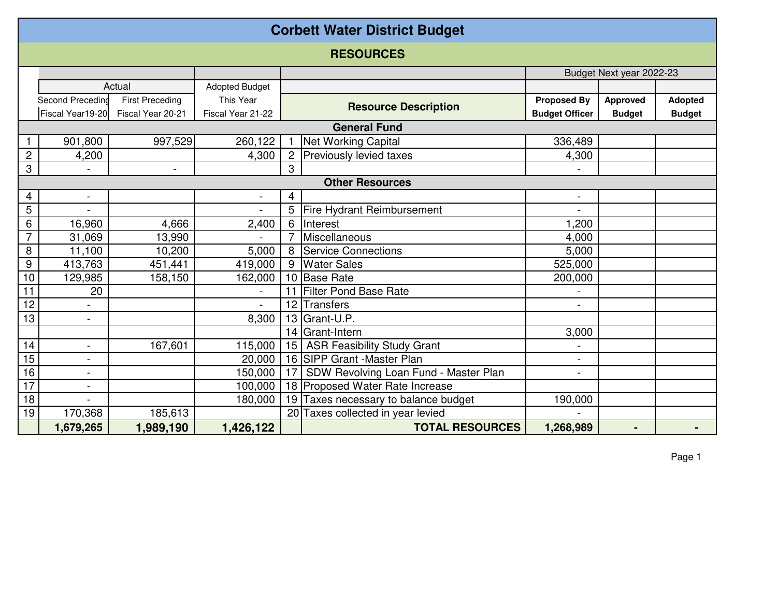| <b>Corbett Water District Budget</b> |                          |                        |                       |                 |                                       |                          |                 |                |  |  |  |  |
|--------------------------------------|--------------------------|------------------------|-----------------------|-----------------|---------------------------------------|--------------------------|-----------------|----------------|--|--|--|--|
|                                      | <b>RESOURCES</b>         |                        |                       |                 |                                       |                          |                 |                |  |  |  |  |
|                                      |                          |                        |                       |                 |                                       | Budget Next year 2022-23 |                 |                |  |  |  |  |
|                                      |                          | Actual                 | <b>Adopted Budget</b> |                 |                                       |                          |                 |                |  |  |  |  |
|                                      | Second Preceding         | <b>First Preceding</b> | This Year             |                 | <b>Resource Description</b>           | <b>Proposed By</b>       | <b>Approved</b> | <b>Adopted</b> |  |  |  |  |
|                                      | Fiscal Year19-20         | Fiscal Year 20-21      | Fiscal Year 21-22     |                 |                                       | <b>Budget Officer</b>    | <b>Budget</b>   | <b>Budget</b>  |  |  |  |  |
|                                      |                          |                        |                       |                 | <b>General Fund</b>                   |                          |                 |                |  |  |  |  |
|                                      | 901,800                  | 997,529                | 260,122               |                 | <b>Net Working Capital</b>            | 336,489                  |                 |                |  |  |  |  |
| $\overline{c}$                       | 4,200                    |                        | 4,300                 | $\overline{2}$  | Previously levied taxes               | 4,300                    |                 |                |  |  |  |  |
| 3                                    |                          | $\blacksquare$         |                       | 3               |                                       |                          |                 |                |  |  |  |  |
|                                      | <b>Other Resources</b>   |                        |                       |                 |                                       |                          |                 |                |  |  |  |  |
| 4                                    | $\blacksquare$           |                        |                       | 4               |                                       | $\blacksquare$           |                 |                |  |  |  |  |
| 5                                    |                          |                        |                       | 5               | Fire Hydrant Reimbursement            |                          |                 |                |  |  |  |  |
| 6                                    | 16,960                   | 4,666                  | 2,400                 | 6               | Interest                              | ,200                     |                 |                |  |  |  |  |
| $\overline{7}$                       | 31,069                   | 13,990                 |                       |                 | Miscellaneous                         | 4,000                    |                 |                |  |  |  |  |
| 8                                    | 11,100                   | 10,200                 | 5,000                 | 8               | <b>Service Connections</b>            | 5,000                    |                 |                |  |  |  |  |
| $9\,$                                | 413,763                  | 451,441                | 419,000               | 9               | <b>Water Sales</b>                    | 525,000                  |                 |                |  |  |  |  |
| 10                                   | 129,985                  | 158,150                | 162,000               |                 | 10 Base Rate                          | 200,000                  |                 |                |  |  |  |  |
| 11                                   | 20                       |                        |                       | 11              | <b>Filter Pond Base Rate</b>          |                          |                 |                |  |  |  |  |
| 12                                   |                          |                        |                       | 12 <sup>2</sup> | Transfers                             | $\blacksquare$           |                 |                |  |  |  |  |
| 13                                   | $\overline{\phantom{a}}$ |                        | 8,300                 |                 | 13 Grant-U.P.                         |                          |                 |                |  |  |  |  |
|                                      |                          |                        |                       | 14              | Grant-Intern                          | 3,000                    |                 |                |  |  |  |  |
| 14                                   | $\blacksquare$           | 167,601                | 115,000               | 15 <sup>1</sup> | <b>ASR Feasibility Study Grant</b>    |                          |                 |                |  |  |  |  |
| 15                                   | $\overline{\phantom{a}}$ |                        | 20,000                |                 | 16 SIPP Grant -Master Plan            | $\blacksquare$           |                 |                |  |  |  |  |
| 16                                   | $\overline{\phantom{a}}$ |                        | 150,000               | 17              | SDW Revolving Loan Fund - Master Plan | $\blacksquare$           |                 |                |  |  |  |  |
| 17                                   | $\blacksquare$           |                        | 100,000               |                 | 18 Proposed Water Rate Increase       |                          |                 |                |  |  |  |  |
| 18                                   |                          |                        | 180,000               | 19              | Taxes necessary to balance budget     | 190,000                  |                 |                |  |  |  |  |
| 19                                   | 170,368                  | 185,613                |                       |                 | 20 Taxes collected in year levied     |                          |                 |                |  |  |  |  |
|                                      | 1,679,265                | 1,989,190              | 1,426,122             |                 | <b>TOTAL RESOURCES</b>                | 1,268,989                |                 |                |  |  |  |  |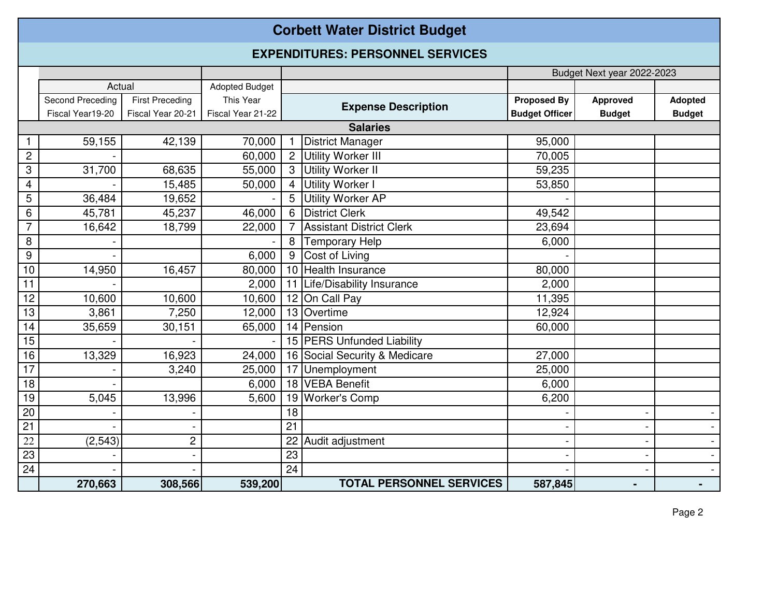## **Corbett Water District Budget**

## **EXPENDITURES: PERSONNEL SERVICES**

|                  |                  |                        |                       |    |                                 |                       | Budget Next year 2022-2023 |                          |
|------------------|------------------|------------------------|-----------------------|----|---------------------------------|-----------------------|----------------------------|--------------------------|
|                  | Actual           |                        | <b>Adopted Budget</b> |    |                                 |                       |                            |                          |
|                  | Second Preceding | <b>First Preceding</b> | This Year             |    | <b>Expense Description</b>      | <b>Proposed By</b>    | <b>Approved</b>            | <b>Adopted</b>           |
|                  | Fiscal Year19-20 | Fiscal Year 20-21      | Fiscal Year 21-22     |    |                                 | <b>Budget Officer</b> | <b>Budget</b>              | <b>Budget</b>            |
|                  |                  |                        |                       |    | <b>Salaries</b>                 |                       |                            |                          |
|                  | 59,155           | 42,139                 | 70,000                |    | <b>District Manager</b>         | 95,000                |                            |                          |
| $\overline{c}$   |                  |                        | 60,000                |    | Utility Worker III              | 70,005                |                            |                          |
| 3                | 31,700           | 68,635                 | 55,000                | 3  | Utility Worker II               | 59,235                |                            |                          |
| 4                |                  | 15,485                 | 50,000                | 4  | Utility Worker I                | 53,850                |                            |                          |
| 5                | 36,484           | 19,652                 |                       | 5  | <b>Utility Worker AP</b>        |                       |                            |                          |
| $6\phantom{1}6$  | 45,781           | 45,237                 | 46,000                | 6  | <b>District Clerk</b>           | 49,542                |                            |                          |
| $\overline{7}$   | 16,642           | 18,799                 | 22,000                |    | <b>Assistant District Clerk</b> | 23,694                |                            |                          |
| 8                |                  |                        |                       | 8  | <b>Temporary Help</b>           | 6,000                 |                            |                          |
| $\boldsymbol{9}$ |                  |                        | 6,000                 | 9  | Cost of Living                  |                       |                            |                          |
| 10               | 14,950           | 16,457                 | 80,000                |    | 10 Health Insurance             | 80,000                |                            |                          |
| 11               |                  |                        | 2,000                 | 11 | Life/Disability Insurance       | 2,000                 |                            |                          |
| 12               | 10,600           | 10,600                 | 10,600                |    | 12 On Call Pay                  | 11,395                |                            |                          |
| 13               | 3,861            | 7,250                  | 12,000                |    | 13 Overtime                     | 12,924                |                            |                          |
| 14               | 35,659           | 30,151                 | 65,000                |    | 14 Pension                      | 60,000                |                            |                          |
| 15               |                  |                        |                       |    | 15 PERS Unfunded Liability      |                       |                            |                          |
| 16               | 13,329           | 16,923                 | 24,000                |    | 16 Social Security & Medicare   | 27,000                |                            |                          |
| 17               |                  | 3,240                  | 25,000                | 17 | Unemployment                    | 25,000                |                            |                          |
| 18               |                  |                        | 6,000                 |    | 18 VEBA Benefit                 | 6,000                 |                            |                          |
| 19               | 5,045            | 13,996                 | 5,600                 | 19 | <b>Worker's Comp</b>            | 6,200                 |                            |                          |
| 20               |                  |                        |                       | 18 |                                 |                       |                            |                          |
| $\overline{21}$  |                  |                        |                       | 21 |                                 |                       |                            | $\overline{\phantom{0}}$ |
| 22               | (2, 543)         | $\overline{c}$         |                       | 22 | Audit adjustment                |                       |                            | $\blacksquare$           |
| $\overline{23}$  |                  |                        |                       | 23 |                                 |                       |                            | $\blacksquare$           |
| 24               |                  |                        |                       | 24 |                                 |                       |                            | $\blacksquare$           |
|                  | 270,663          | 308,566                | 539,200               |    | <b>TOTAL PERSONNEL SERVICES</b> | 587,845               |                            |                          |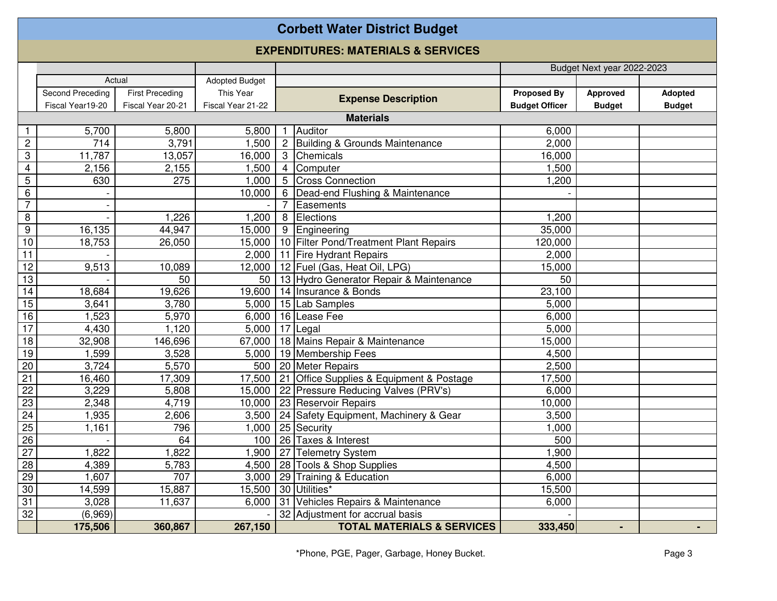## **Corbett Water District Budget**

## **EXPENDITURES: MATERIALS & SERVICES**

|                         |                  |                        |                       |                 |                                           |                       | Budget Next year 2022-2023 |               |
|-------------------------|------------------|------------------------|-----------------------|-----------------|-------------------------------------------|-----------------------|----------------------------|---------------|
|                         | Actual           |                        | <b>Adopted Budget</b> |                 |                                           |                       |                            |               |
|                         | Second Preceding | <b>First Preceding</b> | This Year             |                 |                                           | <b>Proposed By</b>    | Approved                   | Adopted       |
|                         | Fiscal Year19-20 | Fiscal Year 20-21      | Fiscal Year 21-22     |                 | <b>Expense Description</b>                | <b>Budget Officer</b> | <b>Budget</b>              | <b>Budget</b> |
|                         |                  |                        |                       |                 | <b>Materials</b>                          |                       |                            |               |
|                         | 5,700            | 5,800                  | 5,800                 |                 | Auditor                                   | 6.000                 |                            |               |
| $\sqrt{2}$              | 714              | 3,791                  | 1,500                 | $\overline{c}$  | <b>Building &amp; Grounds Maintenance</b> | 2,000                 |                            |               |
| 3                       | 11,787           | 13,057                 | 16,000                | 3               | Chemicals                                 | 16,000                |                            |               |
| $\overline{\mathbf{4}}$ | 2,156            | 2,155                  | 1,500                 | $\overline{4}$  | Computer                                  | 1,500                 |                            |               |
| 5                       | 630              | 275                    | 1,000                 | 5               | <b>Cross Connection</b>                   | 1,200                 |                            |               |
| $\,6\,$                 |                  |                        | 10,000                | $6\phantom{1}6$ | Dead-end Flushing & Maintenance           |                       |                            |               |
| $\overline{7}$          |                  |                        |                       | 7               | Easements                                 |                       |                            |               |
| 8                       |                  | 1,226                  | 1,200                 | 8               | Elections                                 | 1,200                 |                            |               |
| $\boldsymbol{9}$        | 16,135           | 44,947                 | 15,000                | 9               | Engineering                               | 35,000                |                            |               |
| 10                      | 18,753           | 26,050                 | 15,000                |                 | 10 Filter Pond/Treatment Plant Repairs    | 120,000               |                            |               |
| 11                      |                  |                        | 2,000                 |                 | 11 Fire Hydrant Repairs                   | 2,000                 |                            |               |
| $\overline{12}$         | 9,513            | 10,089                 | 12,000                |                 | 12 Fuel (Gas, Heat Oil, LPG)              | 15,000                |                            |               |
| 13                      |                  | 50                     | 50                    |                 | 13 Hydro Generator Repair & Maintenance   | 50                    |                            |               |
| 14                      | 18,684           | 19,626                 | 19,600                |                 | 14 Insurance & Bonds                      | 23,100                |                            |               |
| 15                      | 3,641            | 3,780                  | 5,000                 |                 | 15 Lab Samples                            | 5,000                 |                            |               |
| 16                      | 1,523            | 5,970                  | 6,000                 |                 | 16 Lease Fee                              | 6,000                 |                            |               |
| 17                      | 4,430            | 1,120                  | 5,000                 |                 | 17 Legal                                  | 5,000                 |                            |               |
| 18                      | 32,908           | 146,696                | 67,000                |                 | 18 Mains Repair & Maintenance             | 15,000                |                            |               |
| 19                      | 1,599            | 3,528                  | 5,000                 |                 | 19 Membership Fees                        | 4,500                 |                            |               |
| $\overline{20}$         | 3,724            | 5,570                  | 500                   |                 | 20 Meter Repairs                          | 2,500                 |                            |               |
| $\overline{21}$         | 16,460           | 17,309                 | 17,500                | 21              | Office Supplies & Equipment & Postage     | 17,500                |                            |               |
| $\overline{22}$         | 3,229            | 5,808                  | 15,000                |                 | 22 Pressure Reducing Valves (PRV's)       | 6,000                 |                            |               |
| 23                      | 2,348            | 4,719                  | 10,000                |                 | 23 Reservoir Repairs                      | 10,000                |                            |               |
| $\overline{24}$         | 1,935            | 2,606                  | 3,500                 |                 | 24 Safety Equipment, Machinery & Gear     | 3,500                 |                            |               |
| $\overline{25}$         | 1,161            | 796                    | 1,000                 |                 | 25 Security                               | 1,000                 |                            |               |
| $\overline{26}$         |                  | 64                     | 100                   |                 | 26 Taxes & Interest                       | 500                   |                            |               |
| $\overline{27}$         | 1,822            | 1,822                  | ,900                  |                 | 27 Telemetry System                       | 1,900                 |                            |               |
| 28                      | 4,389            | 5,783                  | 4,500                 |                 | 28 Tools & Shop Supplies                  | 4,500                 |                            |               |
| 29                      | 1,607            | 707                    | 3,000                 |                 | 29 Training & Education                   | 6,000                 |                            |               |
| 30                      | 14,599           | 15,887                 | 15,500                |                 | 30 Utilities*                             | 15,500                |                            |               |
| $\overline{31}$         | 3,028            | 11,637                 | 6,000                 |                 | 31 Vehicles Repairs & Maintenance         | 6,000                 |                            |               |
| 32                      | (6,969)          |                        |                       |                 | 32 Adjustment for accrual basis           |                       |                            |               |
|                         | 175,506          | 360,867                | 267,150               |                 | <b>TOTAL MATERIALS &amp; SERVICES</b>     | 333,450               |                            |               |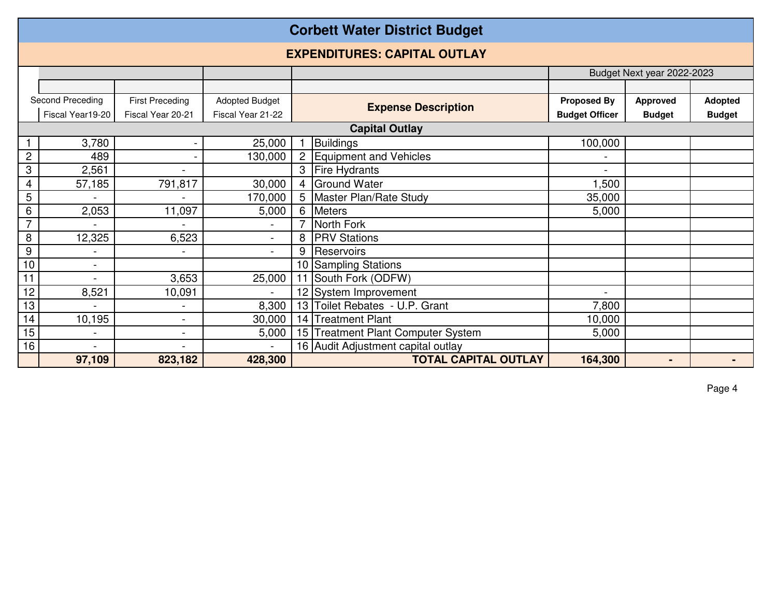|                | <b>Corbett Water District Budget</b>                                |                          |                   |                            |                                        |                       |                |               |  |  |  |  |
|----------------|---------------------------------------------------------------------|--------------------------|-------------------|----------------------------|----------------------------------------|-----------------------|----------------|---------------|--|--|--|--|
|                | <b>EXPENDITURES: CAPITAL OUTLAY</b>                                 |                          |                   |                            |                                        |                       |                |               |  |  |  |  |
|                |                                                                     |                          |                   |                            | Budget Next year 2022-2023             |                       |                |               |  |  |  |  |
|                |                                                                     |                          |                   |                            |                                        |                       |                |               |  |  |  |  |
|                | Second Preceding<br><b>Adopted Budget</b><br><b>First Preceding</b> |                          |                   | <b>Expense Description</b> | <b>Proposed By</b>                     | <b>Approved</b>       | <b>Adopted</b> |               |  |  |  |  |
|                | Fiscal Year19-20                                                    | Fiscal Year 20-21        | Fiscal Year 21-22 |                            |                                        | <b>Budget Officer</b> | <b>Budget</b>  | <b>Budget</b> |  |  |  |  |
|                |                                                                     |                          |                   |                            | <b>Capital Outlay</b>                  |                       |                |               |  |  |  |  |
|                | 3,780                                                               |                          | 25,000            |                            | <b>Buildings</b>                       | 100,000               |                |               |  |  |  |  |
| $\overline{c}$ | 489                                                                 |                          | 130,000           | $\overline{2}$             | <b>Equipment and Vehicles</b>          |                       |                |               |  |  |  |  |
| 3              | 2,561                                                               |                          |                   | 3                          | <b>Fire Hydrants</b>                   |                       |                |               |  |  |  |  |
| 4              | 57,185                                                              | 791,817                  | 30,000            | 4                          | <b>Ground Water</b>                    | ,500                  |                |               |  |  |  |  |
| 5              |                                                                     |                          | 170,000           | 5 <sup>1</sup>             | Master Plan/Rate Study                 | 35,000                |                |               |  |  |  |  |
| 6              | 2,053                                                               | 11,097                   | 5,000             | 6                          | <b>Meters</b>                          | 5,000                 |                |               |  |  |  |  |
| $\overline{7}$ |                                                                     |                          |                   |                            | North Fork                             |                       |                |               |  |  |  |  |
| 8              | 12,325                                                              | 6,523                    | $\blacksquare$    | 8                          | <b>PRV Stations</b>                    |                       |                |               |  |  |  |  |
| 9              | $\blacksquare$                                                      | $\overline{\phantom{a}}$ | $\blacksquare$    | 9                          | Reservoirs                             |                       |                |               |  |  |  |  |
| 10             | $\blacksquare$                                                      |                          |                   | 10 <sup>1</sup>            | <b>Sampling Stations</b>               |                       |                |               |  |  |  |  |
| 11             | $\blacksquare$                                                      | 3,653                    | 25,000            | 11                         | South Fork (ODFW)                      |                       |                |               |  |  |  |  |
| 12             | 8,521                                                               | 10,091                   | $\blacksquare$    |                            | 12 System Improvement                  |                       |                |               |  |  |  |  |
| 13             | $\overline{a}$                                                      | $\blacksquare$           | 8,300             | 13                         | Toilet Rebates - U.P. Grant            | 7,800                 |                |               |  |  |  |  |
| 14             | 10,195                                                              | $\overline{\phantom{a}}$ | 30,000            | 14                         | <b>Treatment Plant</b>                 | 10,000                |                |               |  |  |  |  |
| 15             |                                                                     | $\overline{\phantom{a}}$ | 5,000             | 15 <sub>l</sub>            | <b>Treatment Plant Computer System</b> | 5,000                 |                |               |  |  |  |  |
| 16             |                                                                     |                          |                   |                            | 16 Audit Adjustment capital outlay     |                       |                |               |  |  |  |  |
|                | 97,109                                                              | 823,182                  | 428,300           |                            | <b>TOTAL CAPITAL OUTLAY</b>            | 164,300               | -              |               |  |  |  |  |

Page 4